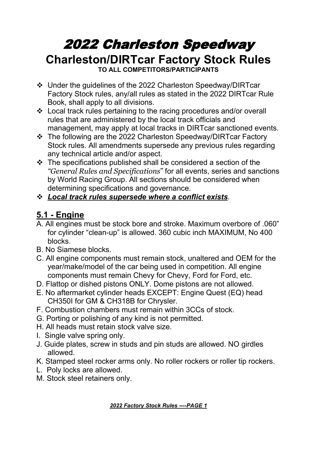# 2022 Charleston Speedway **Charleston/DIRTcar Factory Stock Rules**

**TO ALL COMPETITORS/PARTICIPANTS**

- Under the guidelines of the 2022 Charleston Speedway/DIRTcar Factory Stock rules, any/all rules as stated in the 2022 DIRTcar Rule Book, shall apply to all divisions.
- Local track rules pertaining to the racing procedures and/or overall rules that are administered by the local track officials and management, may apply at local tracks in DIRTcar sanctioned events.
- The following are the 2022 Charleston Speedway/DIRTcar Factory Stock rules. All amendments supersede any previous rules regarding any technical article and/or aspect.
- $\cdot$  The specifications published shall be considered a section of the *"General Rules and Specifications*" for all events, series and sanctions by World Racing Group. All sections should be considered when determining specifications and governance.
- *Local track rules supersede where a conflict exists*.

#### **5.1 - Engine**

- A. All engines must be stock bore and stroke. Maximum overbore of .060" for cylinder "clean-up" is allowed. 360 cubic inch MAXIMUM, No 400 blocks.
- B. No Siamese blocks.
- C. All engine components must remain stock, unaltered and OEM for the year/make/model of the car being used in competition. All engine components must remain Chevy for Chevy, Ford for Ford, etc.
- D. Flattop or dished pistons ONLY. Dome pistons are not allowed.
- E. No aftermarket cylinder heads EXCEPT: Engine Quest (EQ) head CH350I for GM & CH318B for Chrysler.
- F. Combustion chambers must remain within 3CCs of stock.
- G. Porting or polishing of any kind is not permitted.
- H. All heads must retain stock valve size.
- I. Single valve spring only.
- J. Guide plates, screw in studs and pin studs are allowed. NO girdles allowed.
- K. Stamped steel rocker arms only. No roller rockers or roller tip rockers.
- L. Poly locks are allowed.
- M. Stock steel retainers only.

*2022 Factory Stock Rules ----PAGE 1*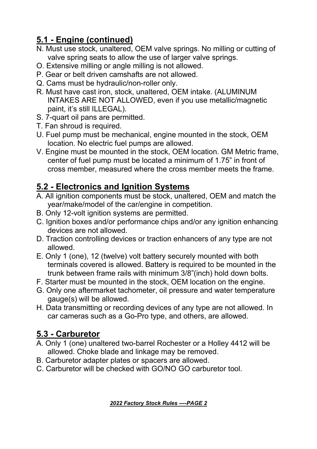# **5.1 - Engine (continued)**

- N. Must use stock, unaltered, OEM valve springs. No milling or cutting of valve spring seats to allow the use of larger valve springs.
- O. Extensive milling or angle milling is not allowed.
- P. Gear or belt driven camshafts are not allowed.
- Q. Cams must be hydraulic/non-roller only.
- R. Must have cast iron, stock, unaltered, OEM intake. (ALUMINUM INTAKES ARE NOT ALLOWED, even if you use metallic/magnetic paint, it's still ILLEGAL).
- S. 7-quart oil pans are permitted.
- 
- T. Fan shroud is required.<br>U. Fuel pump must be mechanical, engine mounted in the stock, OEM location. No electric fuel pumps are allowed.
- V. Engine must be mounted in the stock, OEM location. GM Metric frame, center of fuel pump must be located a minimum of 1.75" in front of cross member, measured where the cross member meets the frame.

#### **5.2 - Electronics and Ignition Systems**

- A. All ignition components must be stock, unaltered, OEM and match the year/make/model of the car/engine in competition.
- B. Only 12-volt ignition systems are permitted.
- C. Ignition boxes and/or performance chips and/or any ignition enhancing devices are not allowed.
- D. Traction controlling devices or traction enhancers of any type are not allowed.
- E. Only 1 (one), 12 (twelve) volt battery securely mounted with both terminals covered is allowed. Battery is required to be mounted in the trunk between frame rails with minimum 3/8"(inch) hold down bolts.F. Starter must be mounted in the stock, OEM location on the engine.
- 
- G. Only one aftermarket tachometer, oil pressure and water temperature gauge(s) will be allowed.
- H. Data transmitting or recording devices of any type are not allowed. In car cameras such as a Go-Pro type, and others, are allowed.

# **5.3 - Carburetor**

- A. Only 1 (one) unaltered two-barrel Rochester or a Holley 4412 will be allowed. Choke blade and linkage may be removed.
- B. Carburetor adapter plates or spacers are allowed.
- C. Carburetor will be checked with GO/NO GO carburetor tool.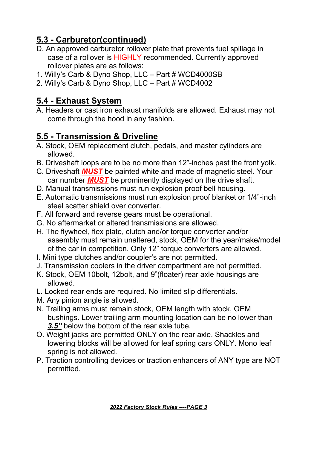### **5.3 - Carburetor(continued)**

- D. An approved carburetor rollover plate that prevents fuel spillage in case of a rollover is HIGHLY recommended. Currently approved rollover plates are as follows:
- 1. Willy's Carb & Dyno Shop, LLC Part # WCD4000SB
- 2. Willy's Carb & Dyno Shop, LLC Part # WCD4002

# **5.4 - Exhaust System**

A. Headers or cast iron exhaust manifolds are allowed. Exhaust may not come through the hood in any fashion.

### **5.5 - Transmission & Driveline**

- A. Stock, OEM replacement clutch, pedals, and master cylinders are allowed.
- B. Driveshaft loops are to be no more than 12"-inches past the front yolk.
- C. Driveshaft *MUST* be painted white and made of magnetic steel. Your car number *MUST* be prominently displayed on the drive shaft.
- D. Manual transmissions must run explosion proof bell housing.
- E. Automatic transmissions must run explosion proof blanket or 1/4"-inch steel scatter shield over converter.
- F. All forward and reverse gears must be operational.
- G. No aftermarket or altered transmissions are allowed.
- H. The flywheel, flex plate, clutch and/or torque converter and/or assembly must remain unaltered, stock, OEM for the year/make/model of the car in competition. Only 12" torque converters are allowed.
- I. Mini type clutches and/or coupler's are not permitted.
- J. Transmission coolers in the driver compartment are not permitted.
- K. Stock, OEM 10bolt, 12bolt, and 9"(floater) rear axle housings are allowed.
- L. Locked rear ends are required. No limited slip differentials.
- M. Any pinion angle is allowed.
- N. Trailing arms must remain stock, OEM length with stock, OEM bushings. Lower trailing arm mounting location can be no lower than *3.5"* below the bottom of the rear axle tube.
- O. Weight jacks are permitted ONLY on the rear axle. Shackles and lowering blocks will be allowed for leaf spring cars ONLY. Mono leaf spring is not allowed.
- P. Traction controlling devices or traction enhancers of ANY type are NOT permitted.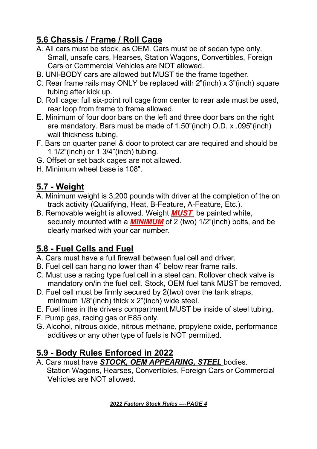# **5.6 Chassis / Frame / Roll Cage**

- A. All cars must be stock, as OEM. Cars must be of sedan type only. Small, unsafe cars, Hearses, Station Wagons, Convertibles, Foreign Cars or Commercial Vehicles are NOT allowed.
- B. UNI-BODY cars are allowed but MUST tie the frame together.
- C. Rear frame rails may ONLY be replaced with 2"(inch) x 3"(inch) square tubing after kick up.
- D. Roll cage: full six-point roll cage from center to rear axle must be used, rear loop from frame to frame allowed.
- E. Minimum of four door bars on the left and three door bars on the right are mandatory. Bars must be made of 1.50"(inch) O.D. x .095"(inch) wall thickness tubing.
- F. Bars on quarter panel & door to protect car are required and should be 1 1/2"(inch) or 1 3/4"(inch) tubing.
- G. Offset or set back cages are not allowed.
- H. Minimum wheel base is 108".

# **5.7 - Weight**

- A. Minimum weight is 3,200 pounds with driver at the completion of the on track activity (Qualifying, Heat, B-Feature, A-Feature, Etc.).
- B. Removable weight is allowed. Weight *MUST* be painted white, securely mounted with a *MINIMUM* of 2 (two) 1/2"(inch) bolts, and be clearly marked with your car number.

# **5.8 - Fuel Cells and Fuel**

- A. Cars must have a full firewall between fuel cell and driver.
- B. Fuel cell can hang no lower than 4" below rear frame rails.
- C. Must use a racing type fuel cell in a steel can. Rollover check valve is mandatory on/in the fuel cell. Stock, OEM fuel tank MUST be removed.
- D. Fuel cell must be firmly secured by 2(two) over the tank straps, minimum 1/8"(inch) thick x 2"(inch) wide steel.
- E. Fuel lines in the drivers compartment MUST be inside of steel tubing.
- F. Pump gas, racing gas or E85 only.
- G. Alcohol, nitrous oxide, nitrous methane, propylene oxide, performance additives or any other type of fuels is NOT permitted.

# **5.9 - Body Rules Enforced in 2022**

A. Cars must have *STOCK, OEM APPEARING, STEEL* bodies. Station Wagons, Hearses, Convertibles, Foreign Cars or Commercial Vehicles are NOT allowed.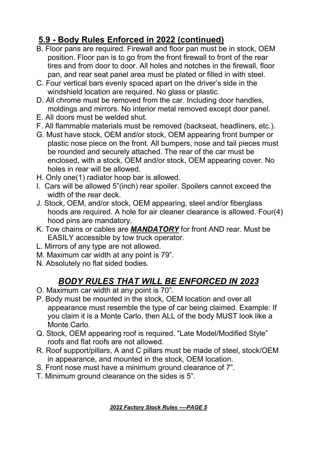# **5.9 - Body Rules Enforced in 2022 (continued)**

- B. Floor pans are required. Firewall and floor pan must be in stock, OEM position. Floor pan is to go from the front firewall to front of the rear tires and from door to door. All holes and notches in the firewall, floor pan, and rear seat panel area must be plated or filled in with steel.
- C. Four vertical bars evenly spaced apart on the driver's side in the windshield location are required. No glass or plastic.
- D. All chrome must be removed from the car. Including door handles, moldings and mirrors. No interior metal removed except door panel.
- E. All doors must be welded shut.
- F. All flammable materials must be removed (backseat, headliners, etc.).
- G. Must have stock, OEM and/or stock, OEM appearing front bumper or plastic nose piece on the front. All bumpers, nose and tail pieces must be rounded and securely attached. The rear of the car must be enclosed, with a stock, OEM and/or stock, OEM appearing cover. No holes in rear will be allowed.
- H. Only one(1) radiator hoop bar is allowed.
- I. Cars will be allowed 5"(inch) rear spoiler. Spoilers cannot exceed the width of the rear deck.
- J. Stock, OEM, and/or stock, OEM appearing, steel and/or fiberglass hoods are required. A hole for air cleaner clearance is allowed. Four(4) hood pins are mandatory.
- K. Tow chains or cables are *MANDATORY* for front AND rear. Must be EASILY accessible by tow truck operator.L. Mirrors of any type are not allowed.
- 
- M. Maximum car width at any point is 79".
- N. Absolutely no flat sided bodies.

#### *BODY RULES THAT WILL BE ENFORCED IN 2023*

- O. Maximum car width at any point is 70".
- P. Body must be mounted in the stock, OEM location and over all appearance must resemble the type of car being claimed. Example: If you claim it is a Monte Carlo, then ALL of the body MUST look like a Monte Carlo.
- Q. Stock, OEM appearing roof is required."Late Model/Modified Style" roofs and flat roofs are not allowed.
- R. Roof support/pillars, A and C pillars must be made of steel, stock/OEM in appearance, and mounted in the stock, OEM location.
- S. Front nose must have a minimum ground clearance of 7".
- T. Minimum ground clearance on the sides is 5".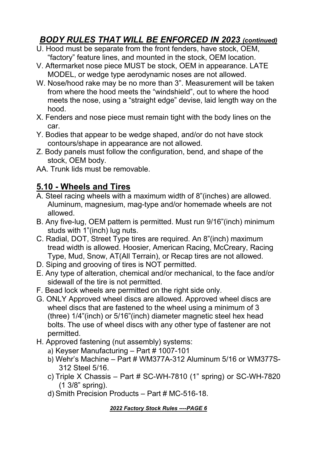#### *BODY RULES THAT WILL BE ENFORCED IN 2023 (continued)*

- U. Hood must be separate from the front fenders, have stock, OEM, "factory" feature lines, and mounted in the stock, OEM location.
- V. Aftermarket nose piece MUST be stock, OEM in appearance. LATE MODEL, or wedge type aerodynamic noses are not allowed.
- W. Nose/hood rake may be no more than 3". Measurement will be taken from where the hood meets the "windshield", out to where the hood meets the nose, using a "straight edge" devise, laid length way on the hood.
- X. Fenders and nose piece must remain tight with the body lines on the car.
- Y. Bodies that appear to be wedge shaped, and/or do not have stock contours/shape in appearance are not allowed.
- Z. Body panels must follow the configuration, bend, and shape of the stock, OEM body.
- AA. Trunk lids must be removable.

#### **5.10 - Wheels and Tires**

- A. Steel racing wheels with a maximum width of 8"(inches) are allowed. Aluminum, magnesium, mag-type and/or homemade wheels are not allowed.
- B. Any five-lug, OEM pattern is permitted. Must run 9/16"(inch) minimum studs with 1"(inch) lug nuts.
- C. Radial, DOT, Street Type tires are required. An 8"(inch) maximum tread width is allowed. Hoosier, American Racing, McCreary, Racing Type, Mud, Snow, AT(All Terrain), or Recap tires are not allowed.
- D. Siping and grooving of tires is NOT permitted.
- E. Any type of alteration, chemical and/or mechanical, to the face and/or sidewall of the tire is not permitted.
- F. Bead lock wheels are permitted on the right side only.
- G. ONLY Approved wheel discs are allowed. Approved wheel discs are wheel discs that are fastened to the wheel using a minimum of 3 (three) 1/4"(inch) or 5/16"(inch) diameter magnetic steel hex head bolts. The use of wheel discs with any other type of fastener are not permitted.
- H. Approved fastening (nut assembly) systems:
	- a) Keyser Manufacturing Part # 1007-101
	- b) Wehr's Machine Part # WM377A-312 Aluminum 5/16 or WM377S- 312 Steel 5/16.
	- c) Triple X Chassis Part # SC-WH-7810 (1" spring) or SC-WH-7820 (1 3/8" spring).
	- d) Smith Precision Products Part # MC-516-18.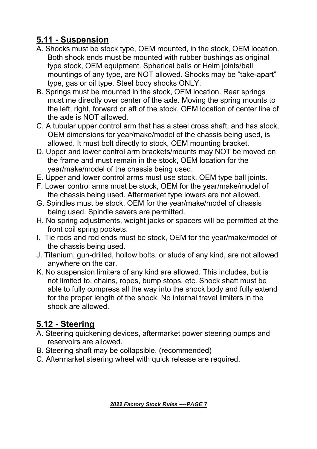### **5.11 - Suspension**

- A. Shocks must be stock type, OEM mounted, in the stock, OEM location. Both shock ends must be mounted with rubber bushings as original type stock, OEM equipment. Spherical balls or Heim joints/ball mountings of any type, are NOT allowed. Shocks may be "take-apart" type, gas or oil type. Steel body shocks ONLY.
- B. Springs must be mounted in the stock, OEM location. Rear springs must me directly over center of the axle. Moving the spring mounts to the left, right, forward or aft of the stock, OEM location of center line of the axle is NOT allowed.
- C. A tubular upper control arm that has a steel cross shaft, and has stock, OEM dimensions for year/make/model of the chassis being used, is allowed. It must bolt directly to stock, OEM mounting bracket.
- D. Upper and lower control arm brackets/mounts may NOT be moved on the frame and must remain in the stock, OEM location for the year/make/model of the chassis being used.
- E. Upper and lower control arms must use stock, OEM type ball joints.
- F. Lower control arms must be stock, OEM for the year/make/model of the chassis being used. Aftermarket type lowers are not allowed.
- G. Spindles must be stock, OEM for the year/make/model of chassis being used. Spindle savers are permitted.
- H. No spring adjustments, weight jacks or spacers will be permitted at the front coil spring pockets.
- I. Tie rods and rod ends must be stock, OEM for the year/make/model of the chassis being used.
- J. Titanium, gun-drilled, hollow bolts, or studs of any kind, are not allowed anywhere on the car.
- K. No suspension limiters of any kind are allowed. This includes, but is not limited to, chains, ropes, bump stops, etc. Shock shaft must be able to fully compress all the way into the shock body and fully extend for the proper length of the shock. No internal travel limiters in the shock are allowed.

# **5.12 - Steering**

- A. Steering quickening devices, aftermarket power steering pumps and reservoirs are allowed.
- B. Steering shaft may be collapsible. (recommended)
- C. Aftermarket steering wheel with quick release are required.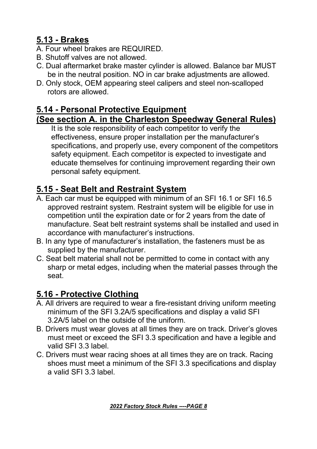#### **5.13 - Brakes**

- A. Four wheel brakes are REQUIRED.
- B. Shutoff valves are not allowed.
- C. Dual aftermarket brake master cylinder is allowed. Balance bar MUST be in the neutral position. NO in car brake adjustments are allowed.
- D. Only stock, OEM appearing steel calipers and steel non-scalloped rotors are allowed.

#### **5.14 - Personal Protective Equipment**

#### **(See section A. in the Charleston Speedway General Rules)**

It is the sole responsibility of each competitor to verify the effectiveness, ensure proper installation per the manufacturer's specifications, and properly use, every component of the competitors safety equipment. Each competitor is expected to investigate and educate themselves for continuing improvement regarding their own personal safety equipment.

# **5.15 - Seat Belt and Restraint System**

- A. Each car must be equipped with minimum of an SFI 16.1 or SFI 16.5 approved restraint system. Restraint system will be eligible for use in competition until the expiration date or for 2 years from the date of manufacture. Seat belt restraint systems shall be installed and used in accordance with manufacturer's instructions.
- B. In any type of manufacturer's installation, the fasteners must be as supplied by the manufacturer.
- C. Seat belt material shall not be permitted to come in contact with any sharp or metal edges, including when the material passes through the seat.

#### **5.16 - Protective Clothing**

- A. All drivers are required to wear a fire-resistant driving uniform meeting minimum of the SFI 3.2A/5 specifications and display a valid SFI 3.2A/5 label on the outside of the uniform.
- B. Drivers must wear gloves at all times they are on track. Driver's gloves must meet or exceed the SFI 3.3 specification and have a legible and valid SFI 3.3 label.
- C. Drivers must wear racing shoes at all times they are on track. Racing shoes must meet a minimum of the SFI 3.3 specifications and display a valid SFI 3.3 label.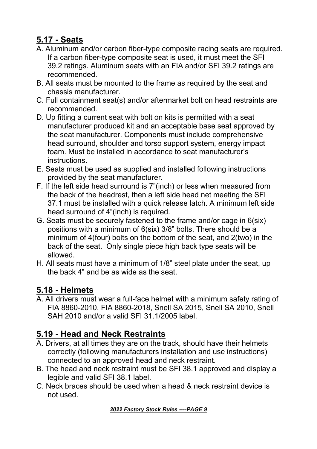#### **5.17 - Seats**

- A. Aluminum and/or carbon fiber-type composite racing seats are required. If a carbon fiber-type composite seat is used, it must meet the SFI 39.2 ratings. Aluminum seats with an FIA and/or SFI 39.2 ratings are recommended.
- B. All seats must be mounted to the frame as required by the seat and chassis manufacturer.
- C. Full containment seat(s) and/or aftermarket bolt on head restraints are recommended.
- D. Up fitting a current seat with bolt on kits is permitted with a seat manufacturer produced kit and an acceptable base seat approved by the seat manufacturer. Components must include comprehensive head surround, shoulder and torso support system, energy impact foam. Must be installed in accordance to seat manufacturer's instructions.
- E. Seats must be used as supplied and installed following instructions provided by the seat manufacturer.
- F. If the left side head surround is 7"(inch) or less when measured from the back of the headrest, then a left side head net meeting the SFI 37.1 must be installed with a quick release latch. A minimum left side head surround of 4"(inch) is required.<br>G. Seats must be securely fastened to the frame and/or cage in 6(six)
- positions with a minimum of 6(six) 3/8" bolts. There should be a minimum of 4(four) bolts on the bottom of the seat, and 2(two) in the back of the seat. Only single piece high back type seats will be allowed.
- H. All seats must have a minimum of 1/8" steel plate under the seat, up the back 4" and be as wide as the seat.

# **5.18 - Helmets**

A. All drivers must wear a full-face helmet with a minimum safety rating of FIA 8860-2010, FIA 8860-2018, Snell SA 2015, Snell SA 2010, Snell SAH 2010 and/or a valid SFI 31.1/2005 label.

# **5.19 - Head and Neck Restraints**

- A. Drivers, at all times they are on the track, should have their helmets correctly (following manufacturers installation and use instructions) connected to an approved head and neck restraint.
- B. The head and neck restraint must be SFI 38.1 approved and display a legible and valid SFI 38.1 label.
- C. Neck braces should be used when a head & neck restraint device is not used.

*2022 Factory Stock Rules ----PAGE 9*